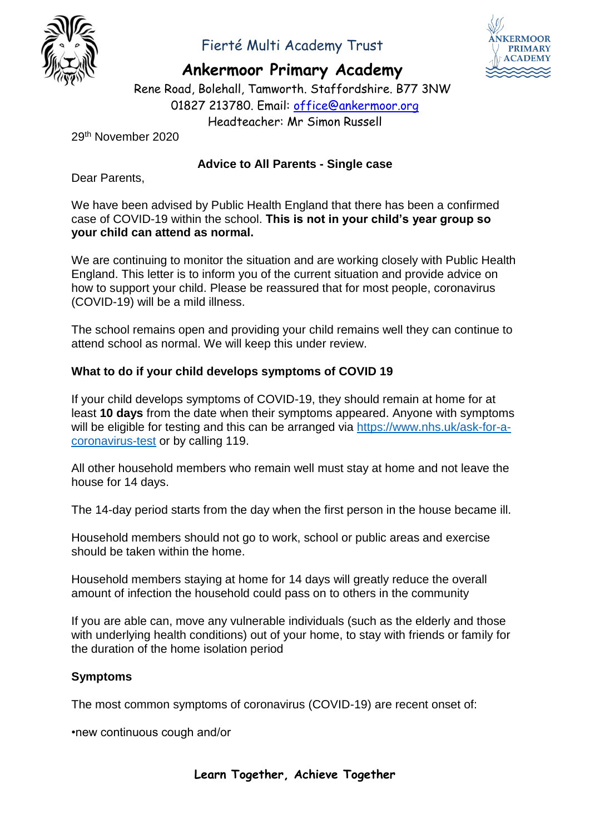

## Fierté Multi Academy Trust

**Ankermoor Primary Academy**



Rene Road, Bolehall, Tamworth. Staffordshire. B77 3NW 01827 213780. Email: office@ankermoor.org Headteacher: Mr Simon Russell

29th November 2020

### **Advice to All Parents - Single case**

Dear Parents,

We have been advised by Public Health England that there has been a confirmed case of COVID-19 within the school. **This is not in your child's year group so your child can attend as normal.**

We are continuing to monitor the situation and are working closely with Public Health England. This letter is to inform you of the current situation and provide advice on how to support your child. Please be reassured that for most people, coronavirus (COVID-19) will be a mild illness.

The school remains open and providing your child remains well they can continue to attend school as normal. We will keep this under review.

### **What to do if your child develops symptoms of COVID 19**

If your child develops symptoms of COVID-19, they should remain at home for at least **10 days** from the date when their symptoms appeared. Anyone with symptoms will be eligible for testing and this can be arranged via [https://www.nhs.uk/ask-for-a](https://www.nhs.uk/ask-for-a-coronavirus-test)[coronavirus-test](https://www.nhs.uk/ask-for-a-coronavirus-test) or by calling 119.

All other household members who remain well must stay at home and not leave the house for 14 days.

The 14-day period starts from the day when the first person in the house became ill.

Household members should not go to work, school or public areas and exercise should be taken within the home.

Household members staying at home for 14 days will greatly reduce the overall amount of infection the household could pass on to others in the community

If you are able can, move any vulnerable individuals (such as the elderly and those with underlying health conditions) out of your home, to stay with friends or family for the duration of the home isolation period

#### **Symptoms**

The most common symptoms of coronavirus (COVID-19) are recent onset of:

•new continuous cough and/or